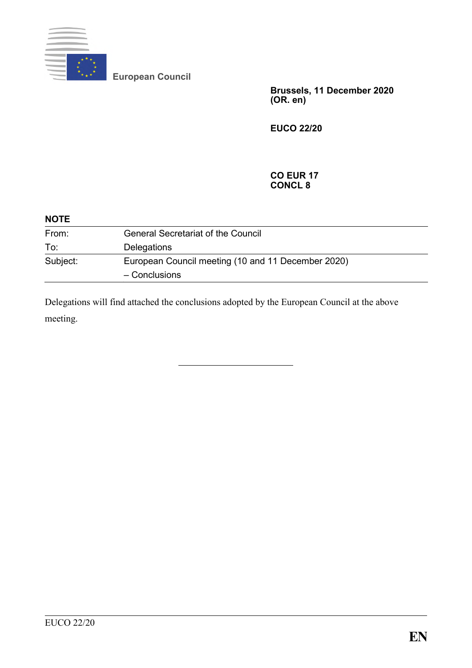

**European Council**

**Brussels, 11 December 2020 (OR. en)**

**EUCO 22/20**

### **CO EUR 17 CONCL 8**

| <b>NOTE</b> |                                                    |  |
|-------------|----------------------------------------------------|--|
| From:       | <b>General Secretariat of the Council</b>          |  |
| To:         | Delegations                                        |  |
| Subject:    | European Council meeting (10 and 11 December 2020) |  |
|             | - Conclusions                                      |  |

Delegations will find attached the conclusions adopted by the European Council at the above meeting.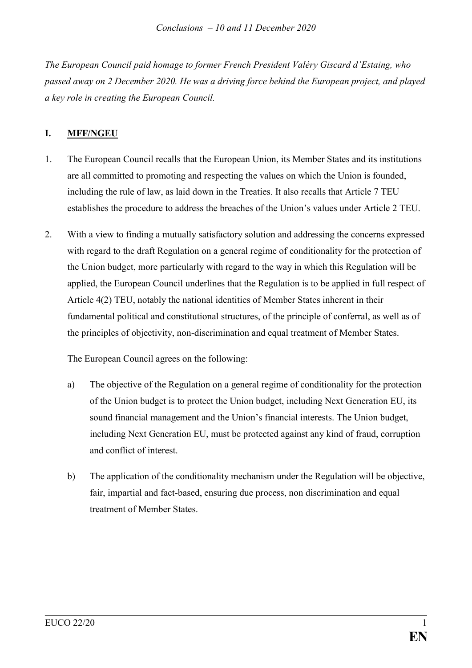*The European Council paid homage to former French President Valéry Giscard d'Estaing, who passed away on 2 December 2020. He was a driving force behind the European project, and played a key role in creating the European Council.*

# **I. MFF/NGEU**

- 1. The European Council recalls that the European Union, its Member States and its institutions are all committed to promoting and respecting the values on which the Union is founded, including the rule of law, as laid down in the Treaties. It also recalls that Article 7 TEU establishes the procedure to address the breaches of the Union's values under Article 2 TEU.
- 2. With a view to finding a mutually satisfactory solution and addressing the concerns expressed with regard to the draft Regulation on a general regime of conditionality for the protection of the Union budget, more particularly with regard to the way in which this Regulation will be applied, the European Council underlines that the Regulation is to be applied in full respect of Article 4(2) TEU, notably the national identities of Member States inherent in their fundamental political and constitutional structures, of the principle of conferral, as well as of the principles of objectivity, non-discrimination and equal treatment of Member States.

The European Council agrees on the following:

- a) The objective of the Regulation on a general regime of conditionality for the protection of the Union budget is to protect the Union budget, including Next Generation EU, its sound financial management and the Union's financial interests. The Union budget, including Next Generation EU, must be protected against any kind of fraud, corruption and conflict of interest.
- b) The application of the conditionality mechanism under the Regulation will be objective, fair, impartial and fact-based, ensuring due process, non discrimination and equal treatment of Member States.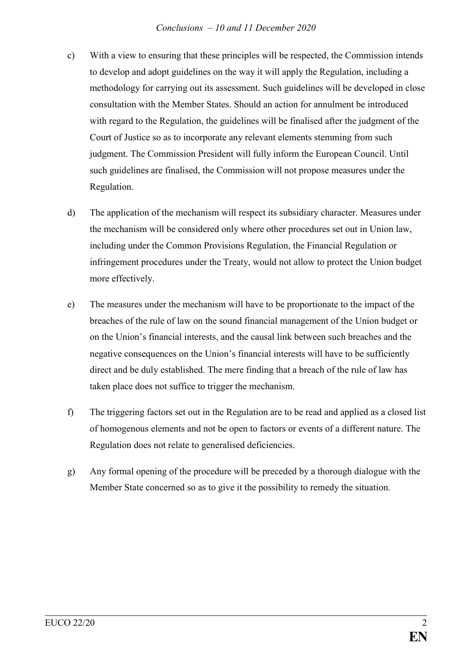### *Conclusions – 10 and 11 December 2020*

- c) With a view to ensuring that these principles will be respected, the Commission intends to develop and adopt guidelines on the way it will apply the Regulation, including a methodology for carrying out its assessment. Such guidelines will be developed in close consultation with the Member States. Should an action for annulment be introduced with regard to the Regulation, the guidelines will be finalised after the judgment of the Court of Justice so as to incorporate any relevant elements stemming from such judgment. The Commission President will fully inform the European Council. Until such guidelines are finalised, the Commission will not propose measures under the Regulation.
- d) The application of the mechanism will respect its subsidiary character. Measures under the mechanism will be considered only where other procedures set out in Union law, including under the Common Provisions Regulation, the Financial Regulation or infringement procedures under the Treaty, would not allow to protect the Union budget more effectively.
- e) The measures under the mechanism will have to be proportionate to the impact of the breaches of the rule of law on the sound financial management of the Union budget or on the Union's financial interests, and the causal link between such breaches and the negative consequences on the Union's financial interests will have to be sufficiently direct and be duly established. The mere finding that a breach of the rule of law has taken place does not suffice to trigger the mechanism.
- f) The triggering factors set out in the Regulation are to be read and applied as a closed list of homogenous elements and not be open to factors or events of a different nature. The Regulation does not relate to generalised deficiencies.
- g) Any formal opening of the procedure will be preceded by a thorough dialogue with the Member State concerned so as to give it the possibility to remedy the situation.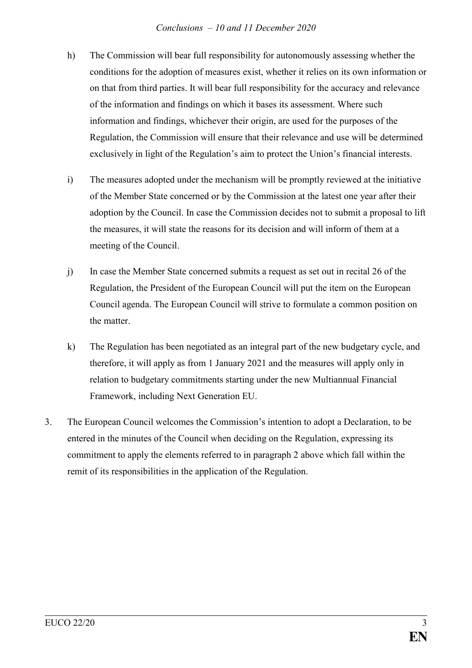### *Conclusions – 10 and 11 December 2020*

- h) The Commission will bear full responsibility for autonomously assessing whether the conditions for the adoption of measures exist, whether it relies on its own information or on that from third parties. It will bear full responsibility for the accuracy and relevance of the information and findings on which it bases its assessment. Where such information and findings, whichever their origin, are used for the purposes of the Regulation, the Commission will ensure that their relevance and use will be determined exclusively in light of the Regulation's aim to protect the Union's financial interests.
- i) The measures adopted under the mechanism will be promptly reviewed at the initiative of the Member State concerned or by the Commission at the latest one year after their adoption by the Council. In case the Commission decides not to submit a proposal to lift the measures, it will state the reasons for its decision and will inform of them at a meeting of the Council.
- j) In case the Member State concerned submits a request as set out in recital 26 of the Regulation, the President of the European Council will put the item on the European Council agenda. The European Council will strive to formulate a common position on the matter.
- k) The Regulation has been negotiated as an integral part of the new budgetary cycle, and therefore, it will apply as from 1 January 2021 and the measures will apply only in relation to budgetary commitments starting under the new Multiannual Financial Framework, including Next Generation EU.
- 3. The European Council welcomes the Commission's intention to adopt a Declaration, to be entered in the minutes of the Council when deciding on the Regulation, expressing its commitment to apply the elements referred to in paragraph 2 above which fall within the remit of its responsibilities in the application of the Regulation.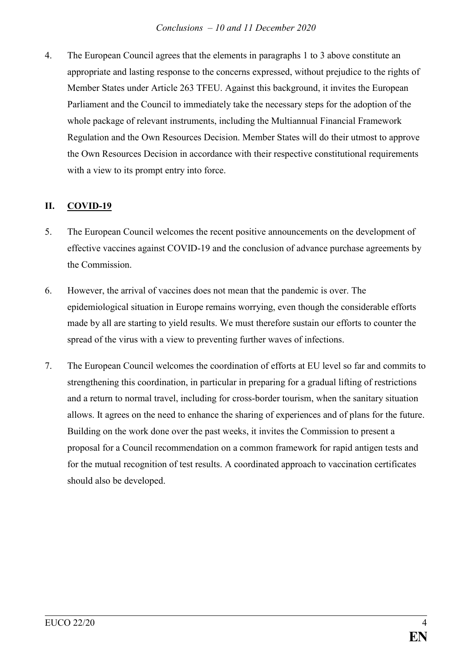4. The European Council agrees that the elements in paragraphs 1 to 3 above constitute an appropriate and lasting response to the concerns expressed, without prejudice to the rights of Member States under Article 263 TFEU. Against this background, it invites the European Parliament and the Council to immediately take the necessary steps for the adoption of the whole package of relevant instruments, including the Multiannual Financial Framework Regulation and the Own Resources Decision. Member States will do their utmost to approve the Own Resources Decision in accordance with their respective constitutional requirements with a view to its prompt entry into force.

## **II. COVID-19**

- 5. The European Council welcomes the recent positive announcements on the development of effective vaccines against COVID-19 and the conclusion of advance purchase agreements by the Commission.
- 6. However, the arrival of vaccines does not mean that the pandemic is over. The epidemiological situation in Europe remains worrying, even though the considerable efforts made by all are starting to yield results. We must therefore sustain our efforts to counter the spread of the virus with a view to preventing further waves of infections.
- 7. The European Council welcomes the coordination of efforts at EU level so far and commits to strengthening this coordination, in particular in preparing for a gradual lifting of restrictions and a return to normal travel, including for cross-border tourism, when the sanitary situation allows. It agrees on the need to enhance the sharing of experiences and of plans for the future. Building on the work done over the past weeks, it invites the Commission to present a proposal for a Council recommendation on a common framework for rapid antigen tests and for the mutual recognition of test results. A coordinated approach to vaccination certificates should also be developed.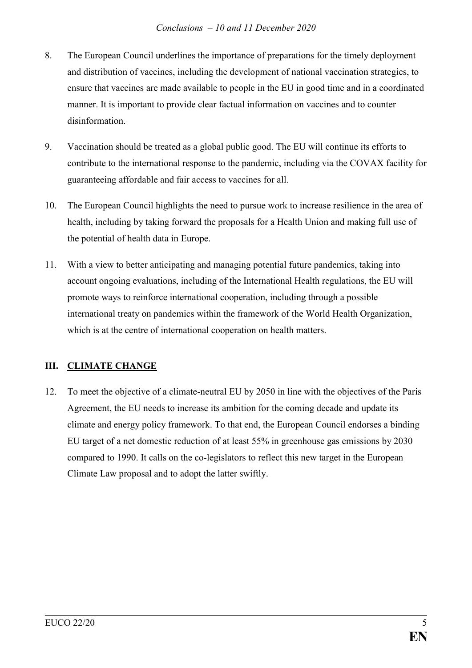- 8. The European Council underlines the importance of preparations for the timely deployment and distribution of vaccines, including the development of national vaccination strategies, to ensure that vaccines are made available to people in the EU in good time and in a coordinated manner. It is important to provide clear factual information on vaccines and to counter disinformation.
- 9. Vaccination should be treated as a global public good. The EU will continue its efforts to contribute to the international response to the pandemic, including via the COVAX facility for guaranteeing affordable and fair access to vaccines for all.
- 10. The European Council highlights the need to pursue work to increase resilience in the area of health, including by taking forward the proposals for a Health Union and making full use of the potential of health data in Europe.
- 11. With a view to better anticipating and managing potential future pandemics, taking into account ongoing evaluations, including of the International Health regulations, the EU will promote ways to reinforce international cooperation, including through a possible international treaty on pandemics within the framework of the World Health Organization, which is at the centre of international cooperation on health matters.

# **III. CLIMATE CHANGE**

12. To meet the objective of a climate-neutral EU by 2050 in line with the objectives of the Paris Agreement, the EU needs to increase its ambition for the coming decade and update its climate and energy policy framework. To that end, the European Council endorses a binding EU target of a net domestic reduction of at least 55% in greenhouse gas emissions by 2030 compared to 1990. It calls on the co-legislators to reflect this new target in the European Climate Law proposal and to adopt the latter swiftly.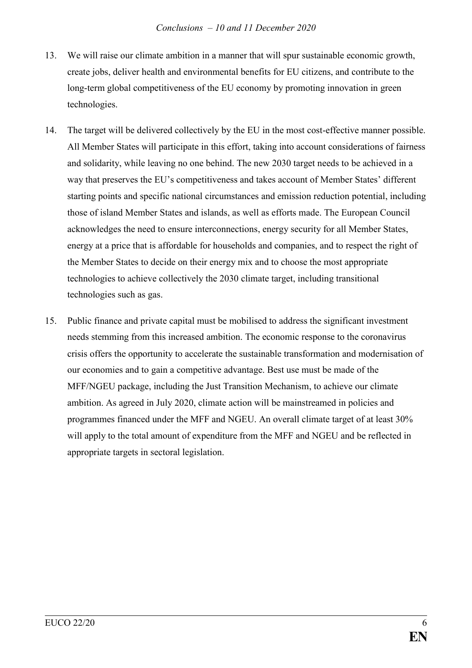- 13. We will raise our climate ambition in a manner that will spur sustainable economic growth, create jobs, deliver health and environmental benefits for EU citizens, and contribute to the long-term global competitiveness of the EU economy by promoting innovation in green technologies.
- 14. The target will be delivered collectively by the EU in the most cost-effective manner possible. All Member States will participate in this effort, taking into account considerations of fairness and solidarity, while leaving no one behind. The new 2030 target needs to be achieved in a way that preserves the EU's competitiveness and takes account of Member States' different starting points and specific national circumstances and emission reduction potential, including those of island Member States and islands, as well as efforts made. The European Council acknowledges the need to ensure interconnections, energy security for all Member States, energy at a price that is affordable for households and companies, and to respect the right of the Member States to decide on their energy mix and to choose the most appropriate technologies to achieve collectively the 2030 climate target, including transitional technologies such as gas.
- 15. Public finance and private capital must be mobilised to address the significant investment needs stemming from this increased ambition. The economic response to the coronavirus crisis offers the opportunity to accelerate the sustainable transformation and modernisation of our economies and to gain a competitive advantage. Best use must be made of the MFF/NGEU package, including the Just Transition Mechanism, to achieve our climate ambition. As agreed in July 2020, climate action will be mainstreamed in policies and programmes financed under the MFF and NGEU. An overall climate target of at least 30% will apply to the total amount of expenditure from the MFF and NGEU and be reflected in appropriate targets in sectoral legislation.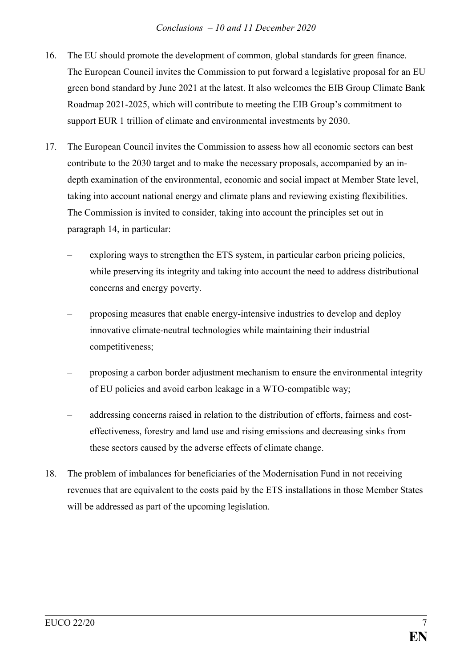### *Conclusions – 10 and 11 December 2020*

- 16. The EU should promote the development of common, global standards for green finance. The European Council invites the Commission to put forward a legislative proposal for an EU green bond standard by June 2021 at the latest. It also welcomes the EIB Group Climate Bank Roadmap 2021-2025, which will contribute to meeting the EIB Group's commitment to support EUR 1 trillion of climate and environmental investments by 2030.
- 17. The European Council invites the Commission to assess how all economic sectors can best contribute to the 2030 target and to make the necessary proposals, accompanied by an indepth examination of the environmental, economic and social impact at Member State level, taking into account national energy and climate plans and reviewing existing flexibilities. The Commission is invited to consider, taking into account the principles set out in paragraph 14, in particular:
	- exploring ways to strengthen the ETS system, in particular carbon pricing policies, while preserving its integrity and taking into account the need to address distributional concerns and energy poverty.
	- proposing measures that enable energy-intensive industries to develop and deploy innovative climate-neutral technologies while maintaining their industrial competitiveness;
	- proposing a carbon border adjustment mechanism to ensure the environmental integrity of EU policies and avoid carbon leakage in a WTO-compatible way;
	- addressing concerns raised in relation to the distribution of efforts, fairness and costeffectiveness, forestry and land use and rising emissions and decreasing sinks from these sectors caused by the adverse effects of climate change.
- 18. The problem of imbalances for beneficiaries of the Modernisation Fund in not receiving revenues that are equivalent to the costs paid by the ETS installations in those Member States will be addressed as part of the upcoming legislation.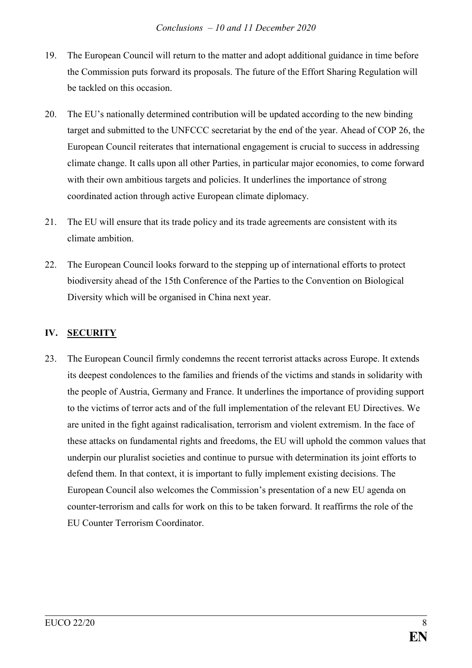- 19. The European Council will return to the matter and adopt additional guidance in time before the Commission puts forward its proposals. The future of the Effort Sharing Regulation will be tackled on this occasion.
- 20. The EU's nationally determined contribution will be updated according to the new binding target and submitted to the UNFCCC secretariat by the end of the year. Ahead of COP 26, the European Council reiterates that international engagement is crucial to success in addressing climate change. It calls upon all other Parties, in particular major economies, to come forward with their own ambitious targets and policies. It underlines the importance of strong coordinated action through active European climate diplomacy.
- 21. The EU will ensure that its trade policy and its trade agreements are consistent with its climate ambition.
- 22. The European Council looks forward to the stepping up of international efforts to protect biodiversity ahead of the 15th Conference of the Parties to the Convention on Biological Diversity which will be organised in China next year.

# **IV. SECURITY**

23. The European Council firmly condemns the recent terrorist attacks across Europe. It extends its deepest condolences to the families and friends of the victims and stands in solidarity with the people of Austria, Germany and France. It underlines the importance of providing support to the victims of terror acts and of the full implementation of the relevant EU Directives. We are united in the fight against radicalisation, terrorism and violent extremism. In the face of these attacks on fundamental rights and freedoms, the EU will uphold the common values that underpin our pluralist societies and continue to pursue with determination its joint efforts to defend them. In that context, it is important to fully implement existing decisions. The European Council also welcomes the Commission's presentation of a new EU agenda on counter-terrorism and calls for work on this to be taken forward. It reaffirms the role of the EU Counter Terrorism Coordinator.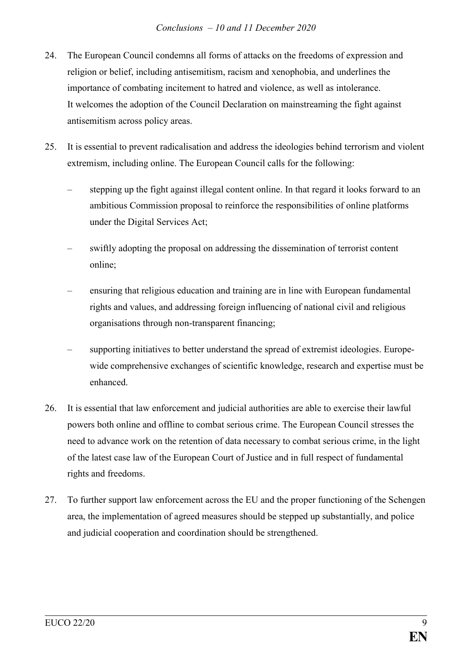- 24. The European Council condemns all forms of attacks on the freedoms of expression and religion or belief, including antisemitism, racism and xenophobia, and underlines the importance of combating incitement to hatred and violence, as well as intolerance. It welcomes the adoption of the Council Declaration on mainstreaming the fight against antisemitism across policy areas.
- 25. It is essential to prevent radicalisation and address the ideologies behind terrorism and violent extremism, including online. The European Council calls for the following:
	- stepping up the fight against illegal content online. In that regard it looks forward to an ambitious Commission proposal to reinforce the responsibilities of online platforms under the Digital Services Act;
	- swiftly adopting the proposal on addressing the dissemination of terrorist content online;
	- ensuring that religious education and training are in line with European fundamental rights and values, and addressing foreign influencing of national civil and religious organisations through non-transparent financing;
	- supporting initiatives to better understand the spread of extremist ideologies. Europewide comprehensive exchanges of scientific knowledge, research and expertise must be enhanced.
- 26. It is essential that law enforcement and judicial authorities are able to exercise their lawful powers both online and offline to combat serious crime. The European Council stresses the need to advance work on the retention of data necessary to combat serious crime, in the light of the latest case law of the European Court of Justice and in full respect of fundamental rights and freedoms.
- 27. To further support law enforcement across the EU and the proper functioning of the Schengen area, the implementation of agreed measures should be stepped up substantially, and police and judicial cooperation and coordination should be strengthened.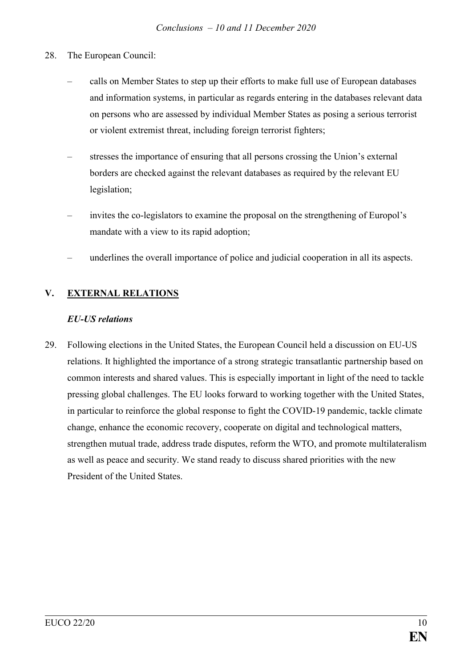- 28. The European Council:
	- calls on Member States to step up their efforts to make full use of European databases and information systems, in particular as regards entering in the databases relevant data on persons who are assessed by individual Member States as posing a serious terrorist or violent extremist threat, including foreign terrorist fighters;
	- stresses the importance of ensuring that all persons crossing the Union's external borders are checked against the relevant databases as required by the relevant EU legislation;
	- invites the co-legislators to examine the proposal on the strengthening of Europol's mandate with a view to its rapid adoption;
	- underlines the overall importance of police and judicial cooperation in all its aspects.

# **V. EXTERNAL RELATIONS**

### *EU-US relations*

29. Following elections in the United States, the European Council held a discussion on EU-US relations. It highlighted the importance of a strong strategic transatlantic partnership based on common interests and shared values. This is especially important in light of the need to tackle pressing global challenges. The EU looks forward to working together with the United States, in particular to reinforce the global response to fight the COVID-19 pandemic, tackle climate change, enhance the economic recovery, cooperate on digital and technological matters, strengthen mutual trade, address trade disputes, reform the WTO, and promote multilateralism as well as peace and security. We stand ready to discuss shared priorities with the new President of the United States.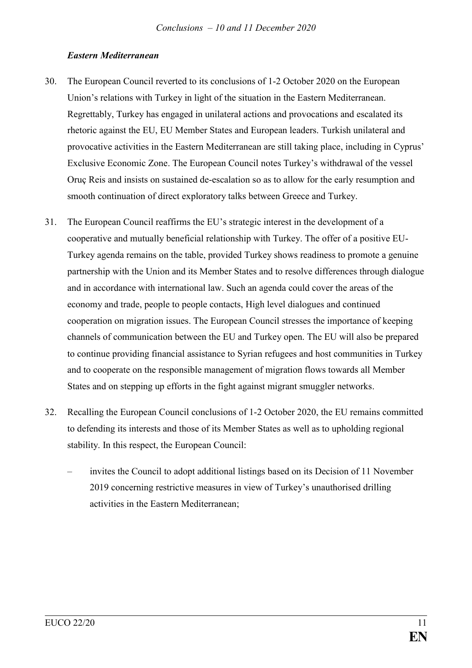## *Eastern Mediterranean*

- 30. The European Council reverted to its conclusions of 1-2 October 2020 on the European Union's relations with Turkey in light of the situation in the Eastern Mediterranean. Regrettably, Turkey has engaged in unilateral actions and provocations and escalated its rhetoric against the EU, EU Member States and European leaders. Turkish unilateral and provocative activities in the Eastern Mediterranean are still taking place, including in Cyprus' Exclusive Economic Zone. The European Council notes Turkey's withdrawal of the vessel Oruç Reis and insists on sustained de-escalation so as to allow for the early resumption and smooth continuation of direct exploratory talks between Greece and Turkey.
- 31. The European Council reaffirms the EU's strategic interest in the development of a cooperative and mutually beneficial relationship with Turkey. The offer of a positive EU-Turkey agenda remains on the table, provided Turkey shows readiness to promote a genuine partnership with the Union and its Member States and to resolve differences through dialogue and in accordance with international law. Such an agenda could cover the areas of the economy and trade, people to people contacts, High level dialogues and continued cooperation on migration issues. The European Council stresses the importance of keeping channels of communication between the EU and Turkey open. The EU will also be prepared to continue providing financial assistance to Syrian refugees and host communities in Turkey and to cooperate on the responsible management of migration flows towards all Member States and on stepping up efforts in the fight against migrant smuggler networks.
- 32. Recalling the European Council conclusions of 1-2 October 2020, the EU remains committed to defending its interests and those of its Member States as well as to upholding regional stability. In this respect, the European Council:
	- invites the Council to adopt additional listings based on its Decision of 11 November 2019 concerning restrictive measures in view of Turkey's unauthorised drilling activities in the Eastern Mediterranean;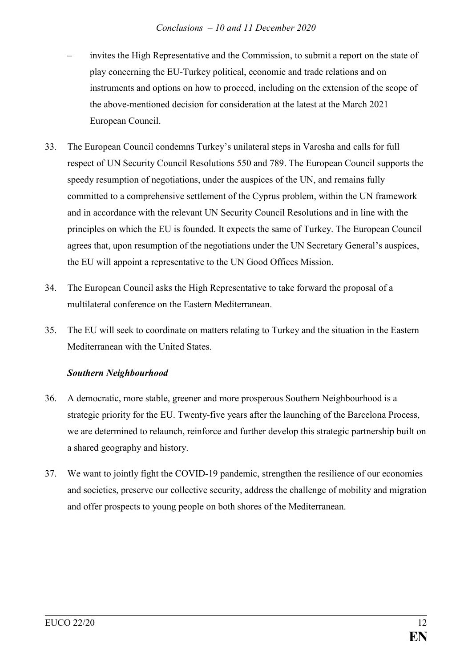- invites the High Representative and the Commission, to submit a report on the state of play concerning the EU-Turkey political, economic and trade relations and on instruments and options on how to proceed, including on the extension of the scope of the above-mentioned decision for consideration at the latest at the March 2021 European Council.
- 33. The European Council condemns Turkey's unilateral steps in Varosha and calls for full respect of UN Security Council Resolutions 550 and 789. The European Council supports the speedy resumption of negotiations, under the auspices of the UN, and remains fully committed to a comprehensive settlement of the Cyprus problem, within the UN framework and in accordance with the relevant UN Security Council Resolutions and in line with the principles on which the EU is founded. It expects the same of Turkey. The European Council agrees that, upon resumption of the negotiations under the UN Secretary General's auspices, the EU will appoint a representative to the UN Good Offices Mission.
- 34. The European Council asks the High Representative to take forward the proposal of a multilateral conference on the Eastern Mediterranean.
- 35. The EU will seek to coordinate on matters relating to Turkey and the situation in the Eastern Mediterranean with the United States.

## *Southern Neighbourhood*

- 36. A democratic, more stable, greener and more prosperous Southern Neighbourhood is a strategic priority for the EU. Twenty-five years after the launching of the Barcelona Process, we are determined to relaunch, reinforce and further develop this strategic partnership built on a shared geography and history.
- 37. We want to jointly fight the COVID-19 pandemic, strengthen the resilience of our economies and societies, preserve our collective security, address the challenge of mobility and migration and offer prospects to young people on both shores of the Mediterranean.